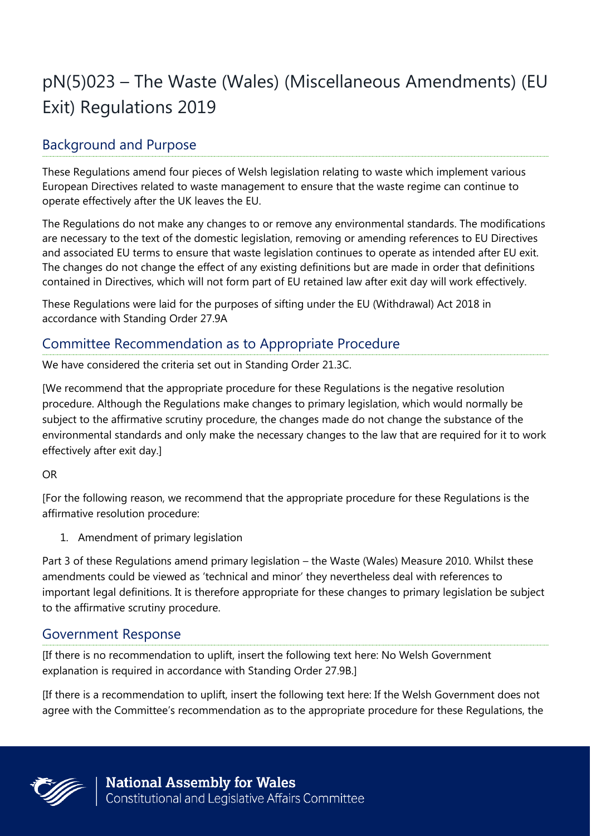# pN(5)023 – The Waste (Wales) (Miscellaneous Amendments) (EU Exit) Regulations 2019

## Background and Purpose

These Regulations amend four pieces of Welsh legislation relating to waste which implement various European Directives related to waste management to ensure that the waste regime can continue to operate effectively after the UK leaves the EU.

The Regulations do not make any changes to or remove any environmental standards. The modifications are necessary to the text of the domestic legislation, removing or amending references to EU Directives and associated EU terms to ensure that waste legislation continues to operate as intended after EU exit. The changes do not change the effect of any existing definitions but are made in order that definitions contained in Directives, which will not form part of EU retained law after exit day will work effectively.

These Regulations were laid for the purposes of sifting under the EU (Withdrawal) Act 2018 in accordance with Standing Order 27.9A

### Committee Recommendation as to Appropriate Procedure

We have considered the criteria set out in Standing Order 21.3C.

[We recommend that the appropriate procedure for these Regulations is the negative resolution procedure. Although the Regulations make changes to primary legislation, which would normally be subject to the affirmative scrutiny procedure, the changes made do not change the substance of the environmental standards and only make the necessary changes to the law that are required for it to work effectively after exit day.]

#### OR

[For the following reason, we recommend that the appropriate procedure for these Regulations is the affirmative resolution procedure:

1. Amendment of primary legislation

Part 3 of these Regulations amend primary legislation – the Waste (Wales) Measure 2010. Whilst these amendments could be viewed as 'technical and minor' they nevertheless deal with references to important legal definitions. It is therefore appropriate for these changes to primary legislation be subject to the affirmative scrutiny procedure.

#### Government Response

[If there is no recommendation to uplift, insert the following text here: No Welsh Government explanation is required in accordance with Standing Order 27.9B.]

[If there is a recommendation to uplift, insert the following text here: If the Welsh Government does not agree with the Committee's recommendation as to the appropriate procedure for these Regulations, the